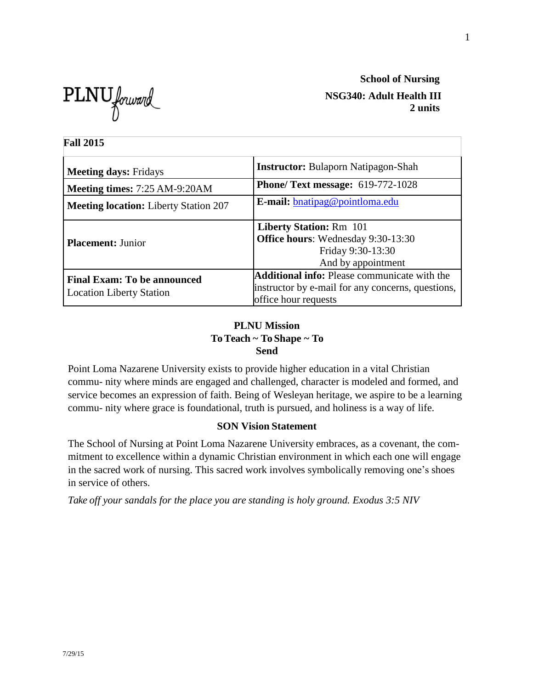**PLNU** forward NSG340: Adult Health III

**School of Nursing 2 units**

| <b>Fall 2015</b>                                                      |                                                                                                                                  |
|-----------------------------------------------------------------------|----------------------------------------------------------------------------------------------------------------------------------|
| <b>Meeting days: Fridays</b>                                          | <b>Instructor:</b> Bulaporn Natipagon-Shah                                                                                       |
| Meeting times: 7:25 AM-9:20AM                                         | <b>Phone/ Text message: 619-772-1028</b>                                                                                         |
| <b>Meeting location:</b> Liberty Station 207                          | <b>E-mail:</b> bnatipag@pointloma.edu                                                                                            |
| <b>Placement: Junior</b>                                              | <b>Liberty Station: Rm 101</b><br><b>Office hours:</b> Wednesday 9:30-13:30<br>Friday 9:30-13:30<br>And by appointment           |
| <b>Final Exam: To be announced</b><br><b>Location Liberty Station</b> | <b>Additional info:</b> Please communicate with the<br>instructor by e-mail for any concerns, questions,<br>office hour requests |

## **PLNU Mission To Teach ~ To Shape ~ To Send**

Point Loma Nazarene University exists to provide higher education in a vital Christian commu- nity where minds are engaged and challenged, character is modeled and formed, and service becomes an expression of faith. Being of Wesleyan heritage, we aspire to be a learning commu- nity where grace is foundational, truth is pursued, and holiness is a way of life.

## **SON Vision Statement**

The School of Nursing at Point Loma Nazarene University embraces, as a covenant, the commitment to excellence within a dynamic Christian environment in which each one will engage in the sacred work of nursing. This sacred work involves symbolically removing one's shoes in service of others.

*Take off your sandals for the place you are standing is holy ground. Exodus 3:5 NIV*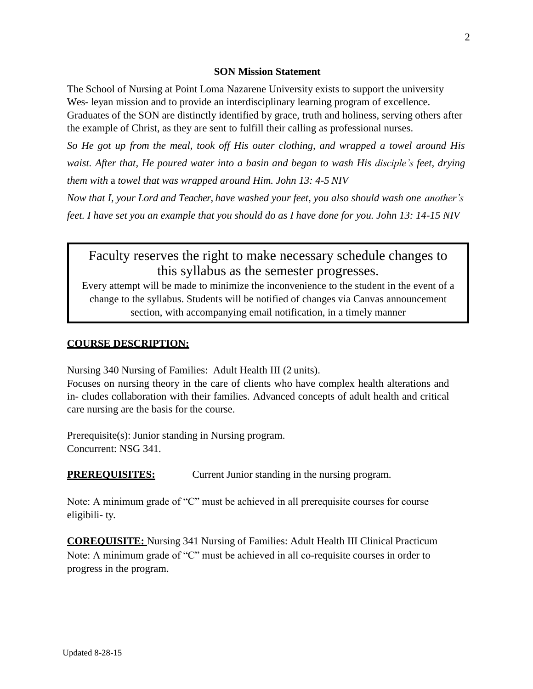#### **SON Mission Statement**

The School of Nursing at Point Loma Nazarene University exists to support the university Wes- leyan mission and to provide an interdisciplinary learning program of excellence. Graduates of the SON are distinctly identified by grace, truth and holiness, serving others after the example of Christ, as they are sent to fulfill their calling as professional nurses.

*So He got up from the meal, took off His outer clothing, and wrapped a towel around His waist. After that, He poured water into a basin and began to wash His disciple's feet, drying them with* a *towel that was wrapped around Him. John 13: 4-5 NIV*

*Now that I, your Lord and Teacher, have washed your feet, you also should wash one another's feet. I have set you an example that you should do as I have done for you. John 13: 14-15 NIV*

# Faculty reserves the right to make necessary schedule changes to this syllabus as the semester progresses.

Every attempt will be made to minimize the inconvenience to the student in the event of a change to the syllabus. Students will be notified of changes via Canvas announcement section, with accompanying email notification, in a timely manner

#### **COURSE DESCRIPTION:**

Nursing 340 Nursing of Families: Adult Health III (2 units).

Focuses on nursing theory in the care of clients who have complex health alterations and in- cludes collaboration with their families. Advanced concepts of adult health and critical care nursing are the basis for the course.

Prerequisite(s): Junior standing in Nursing program. Concurrent: NSG 341.

**PREREQUISITES:** Current Junior standing in the nursing program.

Note: A minimum grade of "C" must be achieved in all prerequisite courses for course eligibili- ty.

**COREQUISITE:** Nursing 341 Nursing of Families: Adult Health III Clinical Practicum Note: A minimum grade of "C" must be achieved in all co-requisite courses in order to progress in the program.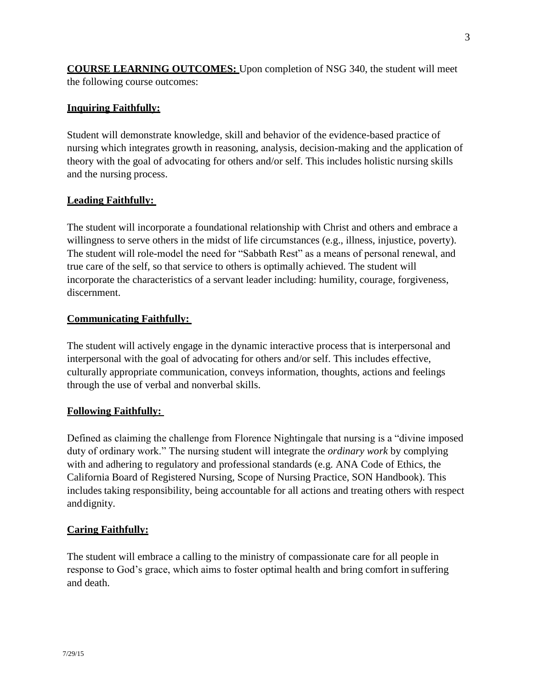**COURSE LEARNING OUTCOMES:** Upon completion of NSG 340, the student will meet the following course outcomes:

## **Inquiring Faithfully:**

Student will demonstrate knowledge, skill and behavior of the evidence-based practice of nursing which integrates growth in reasoning, analysis, decision-making and the application of theory with the goal of advocating for others and/or self. This includes holistic nursing skills and the nursing process.

## **Leading Faithfully:**

The student will incorporate a foundational relationship with Christ and others and embrace a willingness to serve others in the midst of life circumstances (e.g., illness, injustice, poverty). The student will role-model the need for "Sabbath Rest" as a means of personal renewal, and true care of the self, so that service to others is optimally achieved. The student will incorporate the characteristics of a servant leader including: humility, courage, forgiveness, discernment.

## **Communicating Faithfully:**

The student will actively engage in the dynamic interactive process that is interpersonal and interpersonal with the goal of advocating for others and/or self. This includes effective, culturally appropriate communication, conveys information, thoughts, actions and feelings through the use of verbal and nonverbal skills.

## **Following Faithfully:**

Defined as claiming the challenge from Florence Nightingale that nursing is a "divine imposed duty of ordinary work." The nursing student will integrate the *ordinary work* by complying with and adhering to regulatory and professional standards (e.g. ANA Code of Ethics, the California Board of Registered Nursing, Scope of Nursing Practice, SON Handbook). This includes taking responsibility, being accountable for all actions and treating others with respect anddignity.

## **Caring Faithfully:**

The student will embrace a calling to the ministry of compassionate care for all people in response to God's grace, which aims to foster optimal health and bring comfort in suffering and death.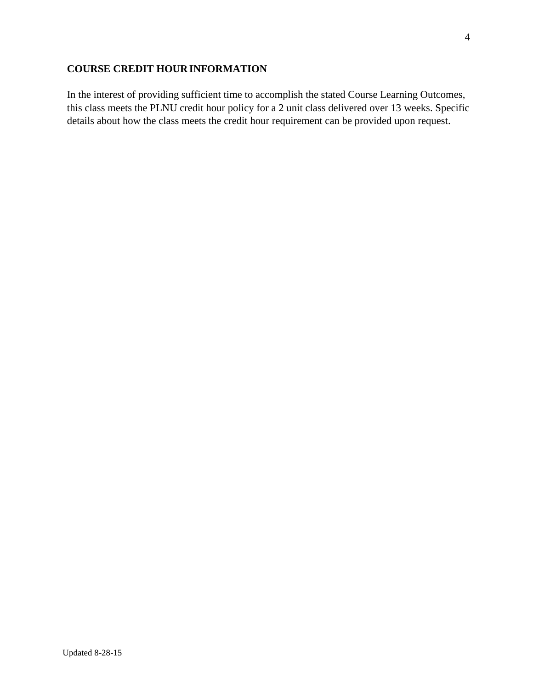## **COURSE CREDIT HOUR INFORMATION**

In the interest of providing sufficient time to accomplish the stated Course Learning Outcomes, this class meets the PLNU credit hour policy for a 2 unit class delivered over 13 weeks. Specific details about how the class meets the credit hour requirement can be provided upon request.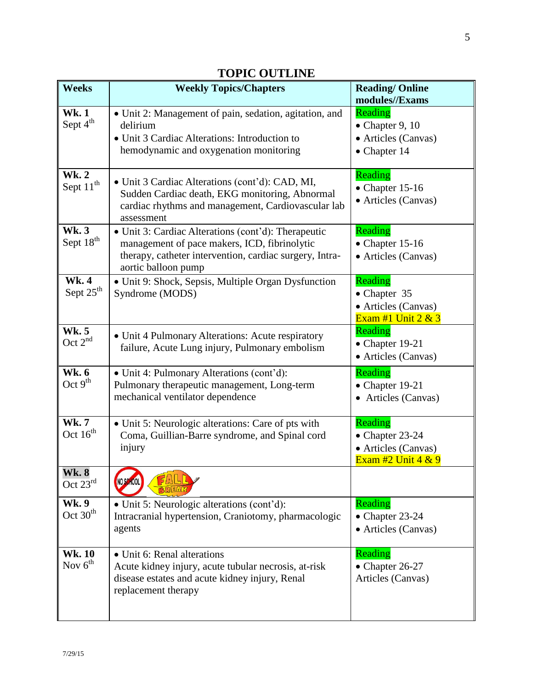| <b>Weeks</b>                         | <b>Weekly Topics/Chapters</b>                                                                                                                                                         | <b>Reading/Online</b><br>modules//Exams                                           |
|--------------------------------------|---------------------------------------------------------------------------------------------------------------------------------------------------------------------------------------|-----------------------------------------------------------------------------------|
| <b>Wk.1</b><br>Sept 4 <sup>th</sup>  | • Unit 2: Management of pain, sedation, agitation, and<br>delirium<br>• Unit 3 Cardiac Alterations: Introduction to<br>hemodynamic and oxygenation monitoring                         | Reading<br>$\bullet$ Chapter 9, 10<br>• Articles (Canvas)<br>$\bullet$ Chapter 14 |
| <b>Wk.2</b><br>Sept 11 <sup>th</sup> | • Unit 3 Cardiac Alterations (cont'd): CAD, MI,<br>Sudden Cardiac death, EKG monitoring, Abnormal<br>cardiac rhythms and management, Cardiovascular lab<br>assessment                 | Reading<br>$\bullet$ Chapter 15-16<br>• Articles (Canvas)                         |
| <b>Wk.3</b><br>Sept 18 <sup>th</sup> | • Unit 3: Cardiac Alterations (cont'd): Therapeutic<br>management of pace makers, ICD, fibrinolytic<br>therapy, catheter intervention, cardiac surgery, Intra-<br>aortic balloon pump | Reading<br>$\bullet$ Chapter 15-16<br>• Articles (Canvas)                         |
| <b>Wk.4</b><br>Sept 25 <sup>th</sup> | · Unit 9: Shock, Sepsis, Multiple Organ Dysfunction<br>Syndrome (MODS)                                                                                                                | Reading<br>• Chapter 35<br>• Articles (Canvas)<br>Exam #1 Unit $2 & 3$            |
| <b>Wk.5</b><br>Oct $2^{nd}$          | • Unit 4 Pulmonary Alterations: Acute respiratory<br>failure, Acute Lung injury, Pulmonary embolism                                                                                   | Reading<br>$\bullet$ Chapter 19-21<br>• Articles (Canvas)                         |
| <b>Wk. 6</b><br>Oct $9th$            | • Unit 4: Pulmonary Alterations (cont'd):<br>Pulmonary therapeutic management, Long-term<br>mechanical ventilator dependence                                                          | Reading<br>$\bullet$ Chapter 19-21<br>• Articles (Canvas)                         |
| <b>Wk.7</b><br>Oct $16^{th}$         | • Unit 5: Neurologic alterations: Care of pts with<br>Coma, Guillian-Barre syndrome, and Spinal cord<br>injury                                                                        | Reading<br>$\bullet$ Chapter 23-24<br>• Articles (Canvas)<br>Exam #2 Unit $4 & 9$ |
| <b>Wk. 8</b><br>Oct $23^{\text{rd}}$ | NO SCHOOL                                                                                                                                                                             |                                                                                   |
| <b>Wk.</b> 9<br>Oct $30th$           | • Unit 5: Neurologic alterations (cont'd):<br>Intracranial hypertension, Craniotomy, pharmacologic<br>agents                                                                          | Reading<br>$\bullet$ Chapter 23-24<br>• Articles (Canvas)                         |
| <b>Wk.10</b><br>Nov $6th$            | • Unit 6: Renal alterations<br>Acute kidney injury, acute tubular necrosis, at-risk<br>disease estates and acute kidney injury, Renal<br>replacement therapy                          | Reading<br>$\bullet$ Chapter 26-27<br>Articles (Canvas)                           |

# **TOPIC OUTLINE**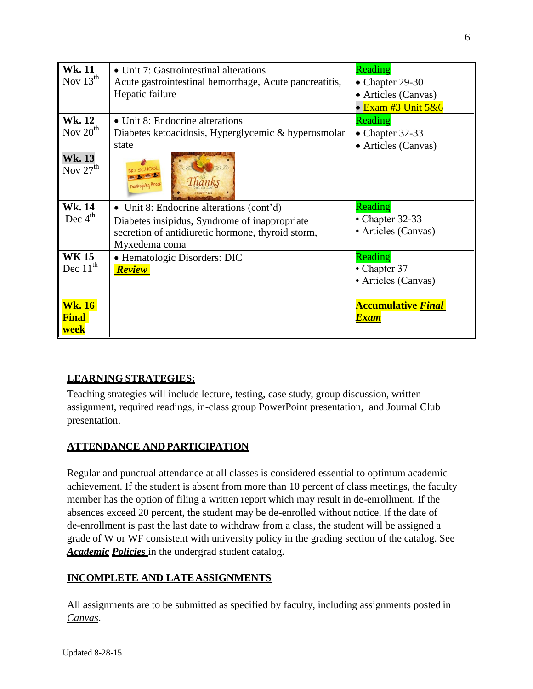| <b>Wk.11</b><br>Nov $13^{th}$         | • Unit 7: Gastrointestinal alterations<br>Acute gastrointestinal hemorrhage, Acute pancreatitis,<br>Hepatic failure                                             | Reading<br>$\bullet$ Chapter 29-30<br>• Articles (Canvas)<br>• Exam #3 Unit $5&6$ |
|---------------------------------------|-----------------------------------------------------------------------------------------------------------------------------------------------------------------|-----------------------------------------------------------------------------------|
| <b>Wk. 12</b><br>Nov $20th$           | • Unit 8: Endocrine alterations<br>Diabetes ketoacidosis, Hyperglycemic & hyperosmolar<br>state                                                                 | Reading<br>$\bullet$ Chapter 32-33<br>• Articles (Canvas)                         |
| <b>Wk. 13</b><br>Nov $27th$           | Thanksgiving Bre                                                                                                                                                |                                                                                   |
| <b>Wk. 14</b><br>Dec $4th$            | • Unit 8: Endocrine alterations (cont'd)<br>Diabetes insipidus, Syndrome of inappropriate<br>secretion of antidiuretic hormone, thyroid storm,<br>Myxedema coma | Reading<br>• Chapter $32-33$<br>• Articles (Canvas)                               |
| <b>WK 15</b><br>Dec $11^{th}$         | • Hematologic Disorders: DIC<br>Review                                                                                                                          | Reading<br>• Chapter 37<br>• Articles (Canvas)                                    |
| <b>Wk. 16</b><br><b>Final</b><br>week |                                                                                                                                                                 | <b>Accumulative Final</b><br><u>Exam</u>                                          |

## **LEARNING STRATEGIES:**

Teaching strategies will include lecture, testing, case study, group discussion, written assignment, required readings, in-class group PowerPoint presentation, and Journal Club presentation.

## **ATTENDANCE ANDPARTICIPATION**

Regular and punctual attendance at all classes is considered essential to optimum academic achievement. If the student is absent from more than 10 percent of class meetings, the faculty member has the option of filing a written report which may result in de-enrollment. If the absences exceed 20 percent, the student may be de-enrolled without notice. If the date of de-enrollment is past the last date to withdraw from a class, the student will be assigned a grade of W or WF consistent with university policy in the grading section of the catalog. See *Academic Policies* in the undergrad student catalog.

## **INCOMPLETE AND LATEASSIGNMENTS**

All assignments are to be submitted as specified by faculty, including assignments posted in *Canvas*.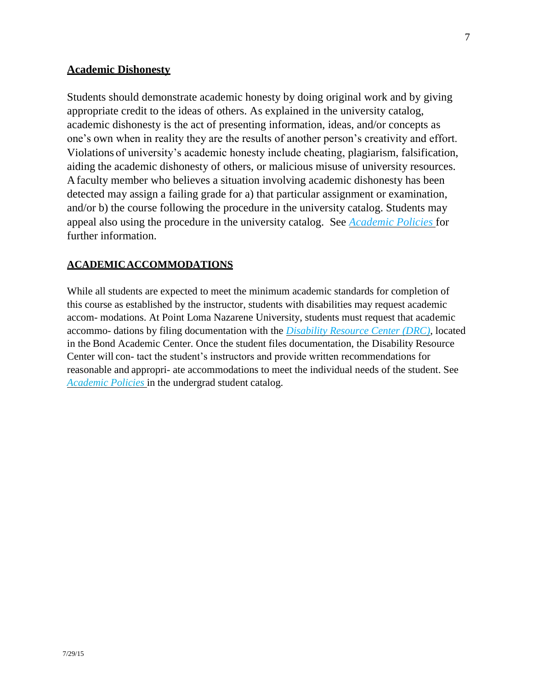#### **Academic Dishonesty**

Students should demonstrate academic honesty by doing original work and by giving appropriate credit to the ideas of others. As explained in the university catalog, academic dishonesty is the act of presenting information, ideas, and/or concepts as one's own when in reality they are the results of another person's creativity and effort. Violations of university's academic honesty include cheating, plagiarism, falsification, aiding the academic dishonesty of others, or malicious misuse of university resources. Afaculty member who believes a situation involving academic dishonesty has been detected may assign a failing grade for a) that particular assignment or examination, and/or b) the course following the procedure in the university catalog. Students may appeal also using the procedure in the university catalog. See *Academic Policies* for further information.

## **ACADEMICACCOMMODATIONS**

While all students are expected to meet the minimum academic standards for completion of this course as established by the instructor, students with disabilities may request academic accom- modations. At Point Loma Nazarene University, students must request that academic accommo- dations by filing documentation with the *Disability Resource Center (DRC)*, located in the Bond Academic Center. Once the student files documentation, the Disability Resource Center will con- tact the student's instructors and provide written recommendations for reasonable and appropri- ate accommodations to meet the individual needs of the student. See *Academic Policies* in the undergrad student catalog.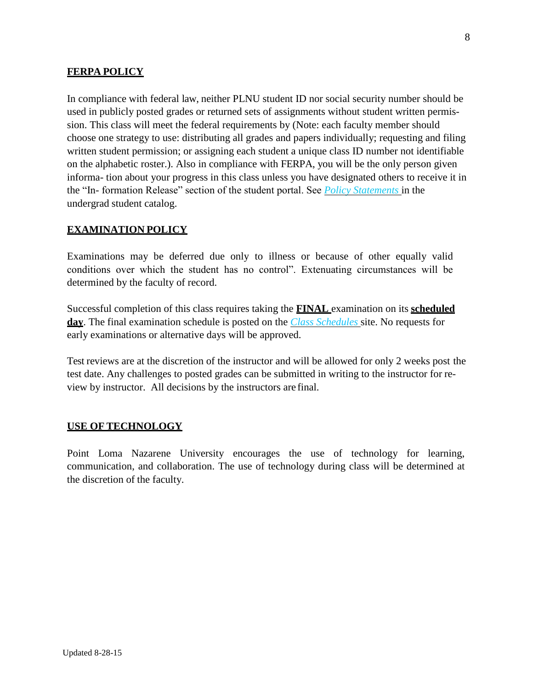## **FERPA POLICY**

In compliance with federal law, neither PLNU student ID nor social security number should be used in publicly posted grades or returned sets of assignments without student written permission. This class will meet the federal requirements by (Note: each faculty member should choose one strategy to use: distributing all grades and papers individually; requesting and filing written student permission; or assigning each student a unique class ID number not identifiable on the alphabetic roster.). Also in compliance with FERPA, you will be the only person given informa- tion about your progress in this class unless you have designated others to receive it in the "In- formation Release" section of the student portal. See *Policy Statements* in the undergrad student catalog.

#### **EXAMINATION POLICY**

Examinations may be deferred due only to illness or because of other equally valid conditions over which the student has no control". Extenuating circumstances will be determined by the faculty of record.

Successful completion of this class requires taking the **FINAL** examination on its **scheduled day**. The final examination schedule is posted on the *Class Schedules* site. No requests for early examinations or alternative days will be approved.

Test reviews are at the discretion of the instructor and will be allowed for only 2 weeks post the test date. Any challenges to posted grades can be submitted in writing to the instructor for review by instructor. All decisions by the instructors are final.

#### **USE OF TECHNOLOGY**

Point Loma Nazarene University encourages the use of technology for learning, communication, and collaboration. The use of technology during class will be determined at the discretion of the faculty.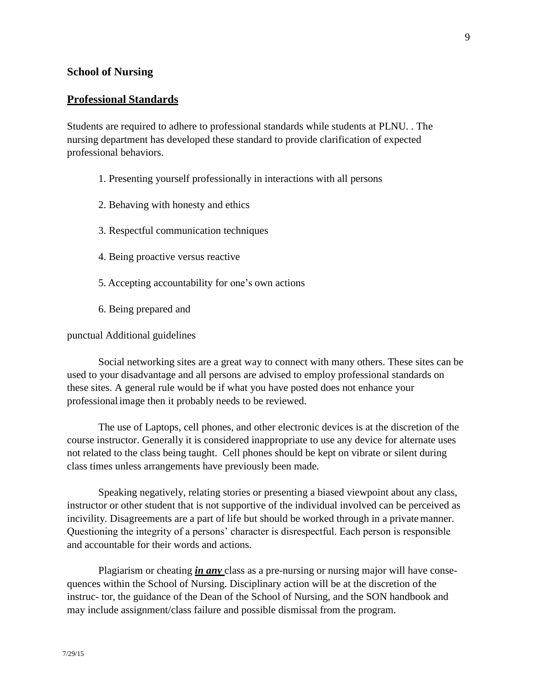#### **School of Nursing**

#### **Professional Standards**

Students are required to adhere to professional standards while students at PLNU. . The nursing department has developed these standard to provide clarification of expected professional behaviors.

- 1. Presenting yourself professionally in interactions with all persons
- 2. Behaving with honesty and ethics
- 3. Respectful communication techniques
- 4. Being proactive versus reactive
- 5. Accepting accountability for one's own actions
- 6. Being prepared and

punctual Additional guidelines

Social networking sites are a great way to connect with many others. These sites can be used to your disadvantage and all persons are advised to employ professional standards on these sites. A general rule would be if what you have posted does not enhance your professionalimage then it probably needs to be reviewed.

The use of Laptops, cell phones, and other electronic devices is at the discretion of the course instructor. Generally it is considered inappropriate to use any device for alternate uses not related to the class being taught. Cell phones should be kept on vibrate or silent during class times unless arrangements have previously been made.

Speaking negatively, relating stories or presenting a biased viewpoint about any class, instructor or other student that is not supportive of the individual involved can be perceived as incivility. Disagreements are a part of life but should be worked through in a privatemanner. Questioning the integrity of a persons' character is disrespectful. Each person is responsible and accountable for their words and actions.

Plagiarism or cheating *in any* class as a pre-nursing or nursing major will have consequences within the School of Nursing. Disciplinary action will be at the discretion of the instruc- tor, the guidance of the Dean of the School of Nursing, and the SON handbook and may include assignment/class failure and possible dismissal from the program.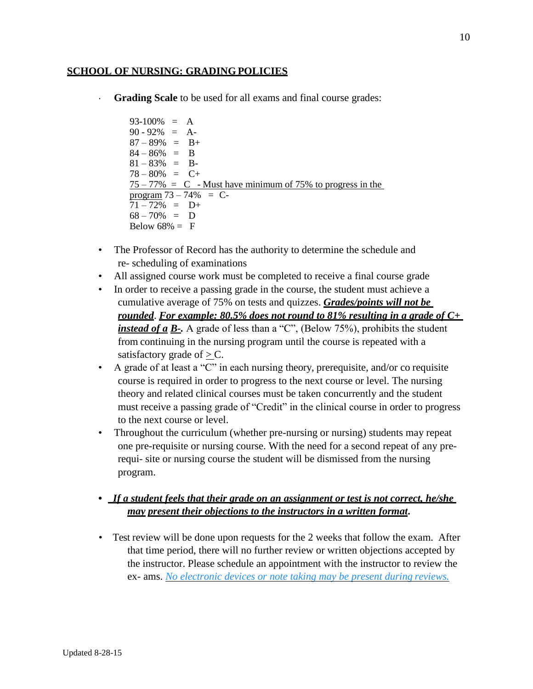#### **SCHOOL OF NURSING: GRADING POLICIES**

**Grading Scale** to be used for all exams and final course grades:

 $93-100\% = A$  $90 - 92\% = A$  $87 - 89\% = B +$  $84 - 86\% = B$  $81 - 83\% = B$  $78 - 80\% = C +$  $75 - 77\% = C$  - Must have minimum of 75% to progress in the program  $73 - 74\% = C$  $71 - 72\% = D+$  $68 - 70\% = D$ Below  $68\% = F$ 

- The Professor of Record has the authority to determine the schedule and re- scheduling of examinations
- All assigned course work must be completed to receive a final course grade
- In order to receive a passing grade in the course, the student must achieve a cumulative average of 75% on tests and quizzes. *Grades/points will not be rounded*. *For example: 80.5% does not round to 81% resulting in a grade of C+ instead of a B*-. A grade of less than a "C", (Below 75%), prohibits the student from continuing in the nursing program until the course is repeated with a satisfactory grade of  $>$  C.
- A grade of at least a "C" in each nursing theory, prerequisite, and/or co requisite course is required in order to progress to the next course or level. The nursing theory and related clinical courses must be taken concurrently and the student must receive a passing grade of "Credit" in the clinical course in order to progress to the next course or level.
- Throughout the curriculum (whether pre-nursing or nursing) students may repeat one pre-requisite or nursing course. With the need for a second repeat of any prerequi- site or nursing course the student will be dismissed from the nursing program.
- **•** *If a student feels that their grade on an assignment or test is not correct, he/she may present their objections to the instructors in a written format***.**
- *•* Test review will be done upon requests for the 2 weeks that follow the exam. After that time period, there will no further review or written objections accepted by the instructor. Please schedule an appointment with the instructor to review the ex- ams. *No electronic devices or note taking may be present during reviews.*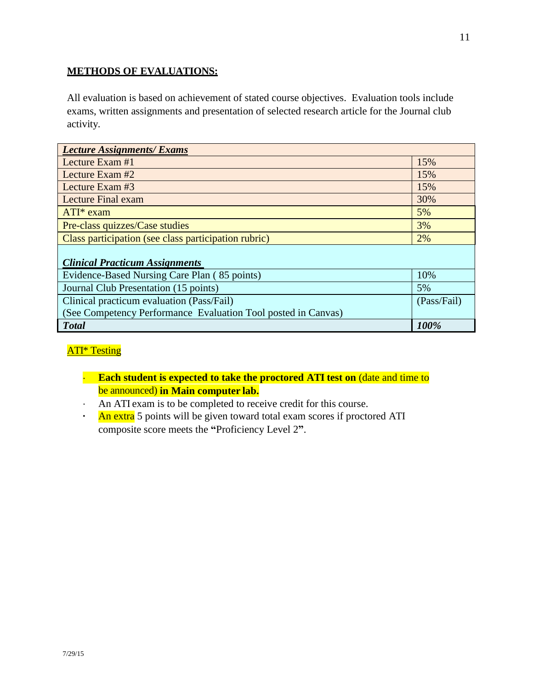## **METHODS OF EVALUATIONS:**

All evaluation is based on achievement of stated course objectives. Evaluation tools include exams, written assignments and presentation of selected research article for the Journal club activity.

| <b>Lecture Assignments/ Exams</b>                             |             |
|---------------------------------------------------------------|-------------|
| Lecture Exam $#1$                                             | 15%         |
| Lecture Exam #2                                               | 15%         |
| Lecture Exam #3                                               | 15%         |
| <b>Lecture Final exam</b>                                     | 30%         |
| $ATI^*$ exam                                                  | 5%          |
| Pre-class quizzes/Case studies                                | 3%          |
| Class participation (see class participation rubric)          | 2%          |
| <b>Clinical Practicum Assignments</b>                         |             |
| Evidence-Based Nursing Care Plan (85 points)                  | 10%         |
| Journal Club Presentation (15 points)                         | 5%          |
| Clinical practicum evaluation (Pass/Fail)                     | (Pass/Fail) |
| (See Competency Performance Evaluation Tool posted in Canvas) |             |
| <b>Total</b>                                                  | 100%        |

## ATI\* Testing

- · **Each student is expected to take the proctored ATI test on** (date and time to be announced) **in Main computer lab.**
- · An ATI exam is to be completed to receive credit for this course.
- **·** An extra 5 points will be given toward total exam scores if proctored ATI composite score meets the **"**Proficiency Level 2**"**.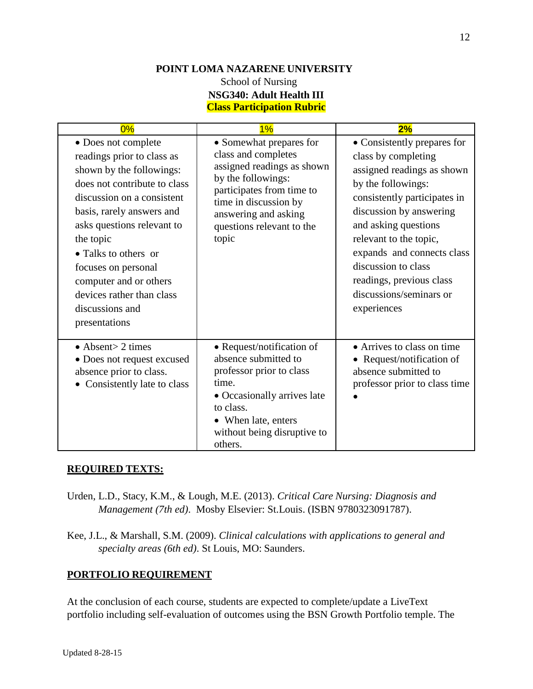# **POINT LOMA NAZARENE UNIVERSITY**

## School of Nursing **NSG340: Adult Health III Class Participation Rubric**

| 0%                                                                                                                                                                                                                                                                                                                                                            | 1%                                                                                                                                                                                                                     | 2%                                                                                                                                                                                                                                                                                                                                             |
|---------------------------------------------------------------------------------------------------------------------------------------------------------------------------------------------------------------------------------------------------------------------------------------------------------------------------------------------------------------|------------------------------------------------------------------------------------------------------------------------------------------------------------------------------------------------------------------------|------------------------------------------------------------------------------------------------------------------------------------------------------------------------------------------------------------------------------------------------------------------------------------------------------------------------------------------------|
| • Does not complete<br>readings prior to class as<br>shown by the followings:<br>does not contribute to class<br>discussion on a consistent<br>basis, rarely answers and<br>asks questions relevant to<br>the topic<br>• Talks to others or<br>focuses on personal<br>computer and or others<br>devices rather than class<br>discussions and<br>presentations | • Somewhat prepares for<br>class and completes<br>assigned readings as shown<br>by the followings:<br>participates from time to<br>time in discussion by<br>answering and asking<br>questions relevant to the<br>topic | • Consistently prepares for<br>class by completing<br>assigned readings as shown<br>by the followings:<br>consistently participates in<br>discussion by answering<br>and asking questions<br>relevant to the topic,<br>expands and connects class<br>discussion to class<br>readings, previous class<br>discussions/seminars or<br>experiences |
| $\bullet$ Absent > 2 times<br>• Does not request excused<br>absence prior to class.<br>Consistently late to class                                                                                                                                                                                                                                             | • Request/notification of<br>absence submitted to<br>professor prior to class<br>time.<br>• Occasionally arrives late<br>to class.<br>• When late, enters<br>without being disruptive to<br>others.                    | • Arrives to class on time<br>• Request/notification of<br>absence submitted to<br>professor prior to class time                                                                                                                                                                                                                               |

## **REQUIRED TEXTS:**

- Urden, L.D., Stacy, K.M., & Lough, M.E. (2013). *Critical Care Nursing: Diagnosis and Management (7th ed)*. Mosby Elsevier: St.Louis. (ISBN 9780323091787).
- Kee, J.L., & Marshall, S.M. (2009). *Clinical calculations with applications to general and specialty areas (6th ed)*. St Louis, MO: Saunders.

## **PORTFOLIO REQUIREMENT**

At the conclusion of each course, students are expected to complete/update a LiveText portfolio including self-evaluation of outcomes using the BSN Growth Portfolio temple. The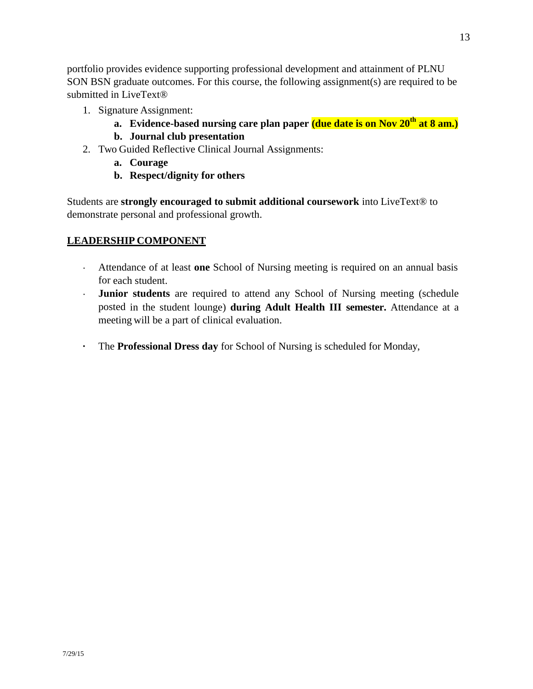portfolio provides evidence supporting professional development and attainment of PLNU SON BSN graduate outcomes. For this course, the following assignment(s) are required to be submitted in LiveText®

- 1. Signature Assignment:
	- **a. Evidence-based nursing care plan paper (due date is on Nov 20th at 8 am.)**
	- **b. Journal club presentation**
- 2. Two Guided Reflective Clinical Journal Assignments:
	- **a. Courage**
	- **b. Respect/dignity for others**

Students are **strongly encouraged to submit additional coursework** into LiveText® to demonstrate personal and professional growth.

## **LEADERSHIP COMPONENT**

- · Attendance of at least **one** School of Nursing meeting is required on an annual basis for each student.
- · **Junior students** are required to attend any School of Nursing meeting (schedule posted in the student lounge) **during Adult Health III semester.** Attendance at a meeting will be a part of clinical evaluation.
- **·** The **Professional Dress day** for School of Nursing is scheduled for Monday,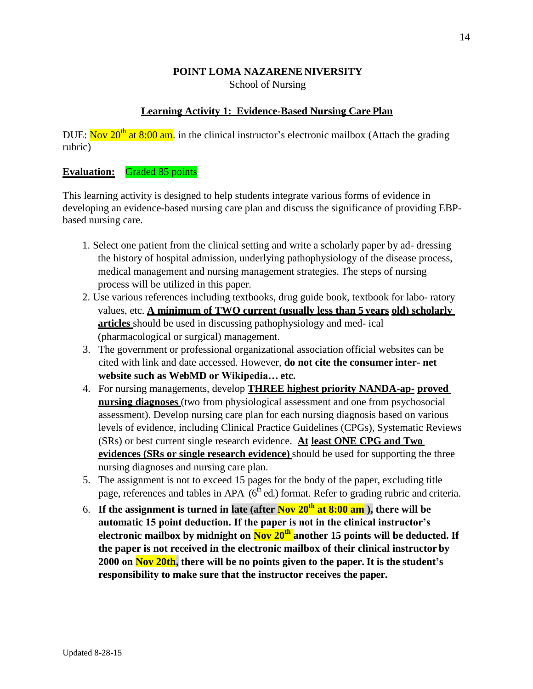#### **POINT LOMA NAZARENE NIVERSITY** School of Nursing

## **Learning Activity 1: Evidence-Based Nursing Care Plan**

DUE: Nov  $20^{th}$  at 8:00 am. in the clinical instructor's electronic mailbox (Attach the grading rubric)

#### **Evaluation:** Graded 85 points

This learning activity is designed to help students integrate various forms of evidence in developing an evidence-based nursing care plan and discuss the significance of providing EBPbased nursing care.

- 1. Select one patient from the clinical setting and write a scholarly paper by ad- dressing the history of hospital admission, underlying pathophysiology of the disease process, medical management and nursing management strategies. The steps of nursing process will be utilized in this paper.
- 2. Use various references including textbooks, drug guide book, textbook for labo- ratory values, etc. **A minimum of TWO current (usually less than 5 years old) scholarly articles** should be used in discussing pathophysiology and med- ical (pharmacological or surgical) management.
- 3. The government or professional organizational association official websites can be cited with link and date accessed. However, **do not cite the consumer inter- net website such as WebMD or Wikipedia… etc.**
- 4. For nursing managements, develop **THREE highest priority NANDA-ap- proved nursing diagnoses** (two from physiological assessment and one from psychosocial assessment). Develop nursing care plan for each nursing diagnosis based on various levels of evidence, including Clinical Practice Guidelines (CPGs), Systematic Reviews (SRs) or best current single research evidence. **At least ONE CPG and Two evidences (SRs or single research evidence)** should be used for supporting the three nursing diagnoses and nursing care plan.
- 5. The assignment is not to exceed 15 pages for the body of the paper, excluding title page, references and tables in APA  $(6<sup>th</sup>$  ed.) format. Refer to grading rubric and criteria.
- 6. **If the assignment is turned in late (after Nov 20th at 8:00 am ), there will be automatic 15 point deduction. If the paper is not in the clinical instructor's electronic mailbox by midnight on Nov 20th another 15 points will be deducted. If the paper is not received in the electronic mailbox of their clinical instructor by 2000 on Nov 20th, there will be no points given to the paper. It is the student's responsibility to make sure that the instructor receives the paper.**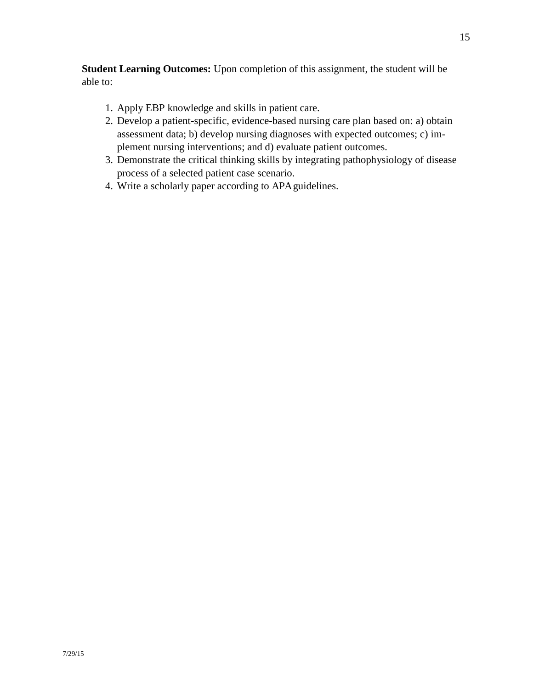**Student Learning Outcomes:** Upon completion of this assignment, the student will be able to:

- 1. Apply EBP knowledge and skills in patient care.
- 2. Develop a patient-specific, evidence-based nursing care plan based on: a) obtain assessment data; b) develop nursing diagnoses with expected outcomes; c) implement nursing interventions; and d) evaluate patient outcomes.
- 3. Demonstrate the critical thinking skills by integrating pathophysiology of disease process of a selected patient case scenario.
- 4. Write a scholarly paper according to APAguidelines.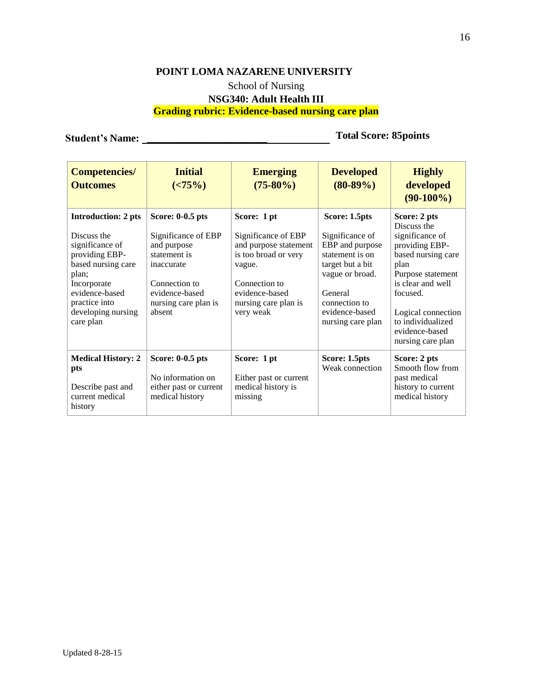# **POINT LOMA NAZARENE UNIVERSITY** School of Nursing **NSG340: Adult Health III Grading rubric: Evidence-based nursing care plan**

**Student's Name: \_\_\_\_\_\_\_\_\_\_\_\_\_\_\_\_\_\_\_\_\_\_\_ Total Score: 85points**

| <b>Competencies/</b><br><b>Outcomes</b>                                                                                                                                                            | <b>Initial</b><br>( <b>75%</b> )                                                                                                                          | <b>Emerging</b><br>$(75-80\%)$                                                                                                                                        | <b>Developed</b><br>$(80-89%)$                                                                                                                                                   | <b>Highly</b><br>developed<br>$(90-100\%)$                                                                                                                                                                                             |
|----------------------------------------------------------------------------------------------------------------------------------------------------------------------------------------------------|-----------------------------------------------------------------------------------------------------------------------------------------------------------|-----------------------------------------------------------------------------------------------------------------------------------------------------------------------|----------------------------------------------------------------------------------------------------------------------------------------------------------------------------------|----------------------------------------------------------------------------------------------------------------------------------------------------------------------------------------------------------------------------------------|
| <b>Introduction: 2 pts</b><br>Discuss the<br>significance of<br>providing EBP-<br>based nursing care<br>plan;<br>Incorporate<br>evidence-based<br>practice into<br>developing nursing<br>care plan | Score: 0-0.5 pts<br>Significance of EBP<br>and purpose<br>statement is<br>inaccurate<br>Connection to<br>evidence-based<br>nursing care plan is<br>absent | Score: 1 pt<br>Significance of EBP<br>and purpose statement<br>is too broad or very<br>vague.<br>Connection to<br>evidence-based<br>nursing care plan is<br>very weak | Score: 1.5pts<br>Significance of<br>EBP and purpose<br>statement is on<br>target but a bit<br>vague or broad.<br>General<br>connection to<br>evidence-based<br>nursing care plan | Score: 2 pts<br>Discuss the<br>significance of<br>providing EBP-<br>based nursing care<br>plan<br>Purpose statement<br>is clear and well<br>focused.<br>Logical connection<br>to individualized<br>evidence-based<br>nursing care plan |
| <b>Medical History: 2</b><br>pts<br>Describe past and<br>current medical<br>history                                                                                                                | Score: 0-0.5 pts<br>No information on<br>either past or current<br>medical history                                                                        | Score: 1 pt<br>Either past or current<br>medical history is<br>missing                                                                                                | Score: 1.5pts<br>Weak connection                                                                                                                                                 | Score: 2 pts<br>Smooth flow from<br>past medical<br>history to current<br>medical history                                                                                                                                              |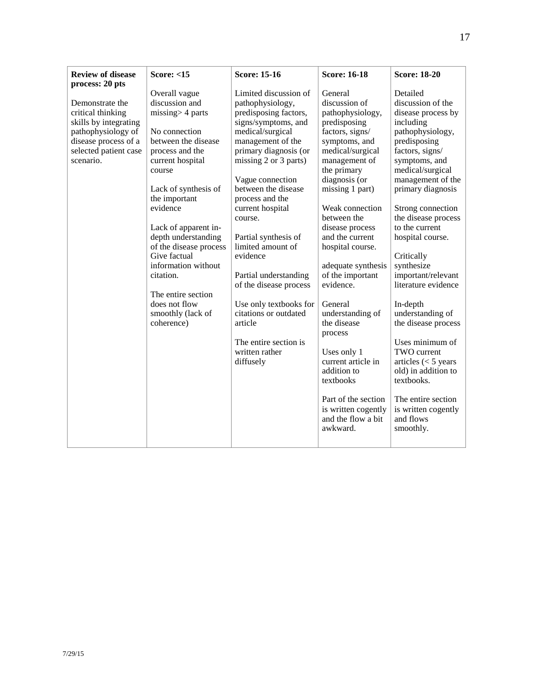| <b>Review of disease</b><br>process: 20 pts                                                                                                       | <b>Score: &lt;15</b>                                                                                                                                                                                                                                                                                                                                                                                      | <b>Score: 15-16</b>                                                                                                                                                                                                                                                                                                                                                                                                                                                                                                 | <b>Score: 16-18</b>                                                                                                                                                                                                                                                                                                                                                                                                                                                                                                                                   | <b>Score: 18-20</b>                                                                                                                                                                                                                                                                                                                                                                                                                                                                                                                                                                             |
|---------------------------------------------------------------------------------------------------------------------------------------------------|-----------------------------------------------------------------------------------------------------------------------------------------------------------------------------------------------------------------------------------------------------------------------------------------------------------------------------------------------------------------------------------------------------------|---------------------------------------------------------------------------------------------------------------------------------------------------------------------------------------------------------------------------------------------------------------------------------------------------------------------------------------------------------------------------------------------------------------------------------------------------------------------------------------------------------------------|-------------------------------------------------------------------------------------------------------------------------------------------------------------------------------------------------------------------------------------------------------------------------------------------------------------------------------------------------------------------------------------------------------------------------------------------------------------------------------------------------------------------------------------------------------|-------------------------------------------------------------------------------------------------------------------------------------------------------------------------------------------------------------------------------------------------------------------------------------------------------------------------------------------------------------------------------------------------------------------------------------------------------------------------------------------------------------------------------------------------------------------------------------------------|
| Demonstrate the<br>critical thinking<br>skills by integrating<br>pathophysiology of<br>disease process of a<br>selected patient case<br>scenario. | Overall vague<br>discussion and<br>$missing$ 4 parts<br>No connection<br>between the disease<br>process and the<br>current hospital<br>course<br>Lack of synthesis of<br>the important<br>evidence<br>Lack of apparent in-<br>depth understanding<br>of the disease process<br>Give factual<br>information without<br>citation.<br>The entire section<br>does not flow<br>smoothly (lack of<br>coherence) | Limited discussion of<br>pathophysiology,<br>predisposing factors,<br>signs/symptoms, and<br>medical/surgical<br>management of the<br>primary diagnosis (or<br>missing 2 or 3 parts)<br>Vague connection<br>between the disease<br>process and the<br>current hospital<br>course.<br>Partial synthesis of<br>limited amount of<br>evidence<br>Partial understanding<br>of the disease process<br>Use only textbooks for<br>citations or outdated<br>article<br>The entire section is<br>written rather<br>diffusely | General<br>discussion of<br>pathophysiology,<br>predisposing<br>factors, signs/<br>symptoms, and<br>medical/surgical<br>management of<br>the primary<br>diagnosis (or<br>missing 1 part)<br>Weak connection<br>between the<br>disease process<br>and the current<br>hospital course.<br>adequate synthesis<br>of the important<br>evidence.<br>General<br>understanding of<br>the disease<br>process<br>Uses only 1<br>current article in<br>addition to<br>textbooks<br>Part of the section<br>is written cogently<br>and the flow a bit<br>awkward. | Detailed<br>discussion of the<br>disease process by<br>including<br>pathophysiology,<br>predisposing<br>factors, signs/<br>symptoms, and<br>medical/surgical<br>management of the<br>primary diagnosis<br>Strong connection<br>the disease process<br>to the current<br>hospital course.<br>Critically<br>synthesize<br>important/relevant<br>literature evidence<br>In-depth<br>understanding of<br>the disease process<br>Uses minimum of<br>TWO current<br>articles $(< 5$ years<br>old) in addition to<br>textbooks.<br>The entire section<br>is written cogently<br>and flows<br>smoothly. |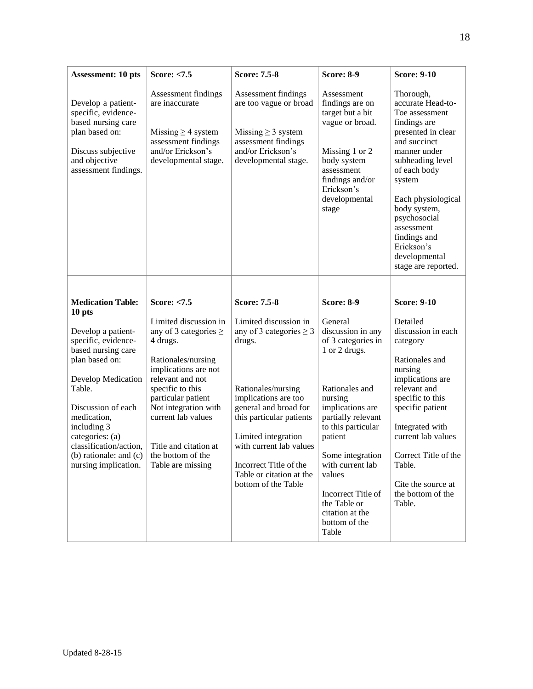| <b>Assessment: 10 pts</b>                                                                                                                                                                                                                                                                                    | <b>Score: &lt;7.5</b>                                                                                                                                                                                                                                                                                          | <b>Score: 7.5-8</b>                                                                                                                                                                                                                                                                                                      | <b>Score: 8-9</b>                                                                                                                                                                                                                                                        | <b>Score: 9-10</b>                                                                                                                                                                                                                                                                                             |
|--------------------------------------------------------------------------------------------------------------------------------------------------------------------------------------------------------------------------------------------------------------------------------------------------------------|----------------------------------------------------------------------------------------------------------------------------------------------------------------------------------------------------------------------------------------------------------------------------------------------------------------|--------------------------------------------------------------------------------------------------------------------------------------------------------------------------------------------------------------------------------------------------------------------------------------------------------------------------|--------------------------------------------------------------------------------------------------------------------------------------------------------------------------------------------------------------------------------------------------------------------------|----------------------------------------------------------------------------------------------------------------------------------------------------------------------------------------------------------------------------------------------------------------------------------------------------------------|
| Develop a patient-<br>specific, evidence-<br>based nursing care<br>plan based on:<br>Discuss subjective<br>and objective<br>assessment findings.                                                                                                                                                             | Assessment findings<br>are inaccurate<br>Missing $\geq$ 4 system<br>assessment findings<br>and/or Erickson's<br>developmental stage.                                                                                                                                                                           | Assessment findings<br>are too vague or broad<br>Missing $\geq$ 3 system<br>assessment findings<br>and/or Erickson's<br>developmental stage.                                                                                                                                                                             | Assessment<br>findings are on<br>target but a bit<br>vague or broad.<br>Missing 1 or 2<br>body system<br>assessment<br>findings and/or<br>Erickson's<br>developmental<br>stage                                                                                           | Thorough,<br>accurate Head-to-<br>Toe assessment<br>findings are<br>presented in clear<br>and succinct<br>manner under<br>subheading level<br>of each body<br>system<br>Each physiological<br>body system,<br>psychosocial<br>assessment<br>findings and<br>Erickson's<br>developmental<br>stage are reported. |
| <b>Medication Table:</b><br>10 pts<br>Develop a patient-<br>specific, evidence-<br>based nursing care<br>plan based on:<br>Develop Medication<br>Table.<br>Discussion of each<br>medication,<br>including 3<br>categories: (a)<br>classification/action,<br>(b) rationale: and $(c)$<br>nursing implication. | Score: $< 7.5$<br>Limited discussion in<br>any of 3 categories $\geq$<br>4 drugs.<br>Rationales/nursing<br>implications are not<br>relevant and not<br>specific to this<br>particular patient<br>Not integration with<br>current lab values<br>Title and citation at<br>the bottom of the<br>Table are missing | <b>Score: 7.5-8</b><br>Limited discussion in<br>any of 3 categories $\geq$ 3<br>drugs.<br>Rationales/nursing<br>implications are too<br>general and broad for<br>this particular patients<br>Limited integration<br>with current lab values<br>Incorrect Title of the<br>Table or citation at the<br>bottom of the Table | <b>Score: 8-9</b><br>General<br>discussion in any<br>of 3 categories in<br>1 or 2 drugs.<br>Rationales and<br>nursing<br>implications are<br>partially relevant<br>to this particular<br>patient<br>Some integration<br>with current lab<br>values<br>Incorrect Title of | <b>Score: 9-10</b><br>Detailed<br>discussion in each<br>category<br>Rationales and<br>nursing<br>implications are<br>relevant and<br>specific to this<br>specific patient<br>Integrated with<br>current lab values<br>Correct Title of the<br>Table.<br>Cite the source at<br>the bottom of the                |
|                                                                                                                                                                                                                                                                                                              |                                                                                                                                                                                                                                                                                                                |                                                                                                                                                                                                                                                                                                                          | the Table or<br>citation at the<br>bottom of the<br>Table                                                                                                                                                                                                                | Table.                                                                                                                                                                                                                                                                                                         |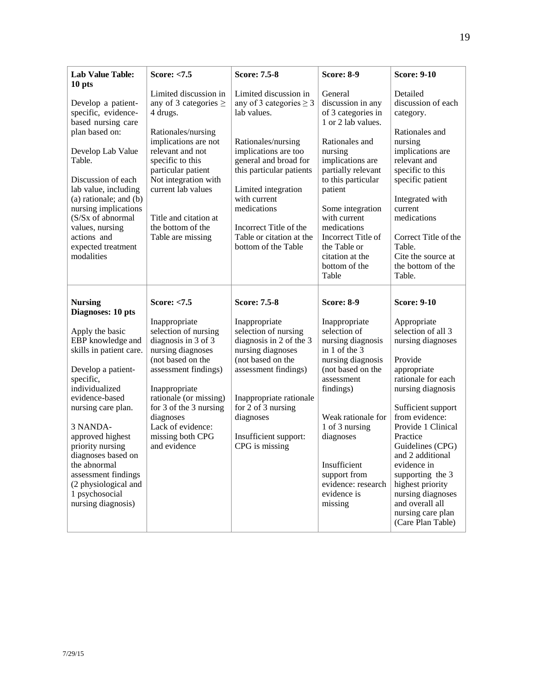| <b>Lab Value Table:</b><br>10 pts                                                                                                                                                                                                                                                                                                                                                    | Score: $< 7.5$                                                                                                                                                                                                                                                                               | <b>Score: 7.5-8</b>                                                                                                                                                                                                                                                                                        | <b>Score: 8-9</b>                                                                                                                                                                                                                                                                                                      | <b>Score: 9-10</b>                                                                                                                                                                                                                                                                                                                                                                                           |
|--------------------------------------------------------------------------------------------------------------------------------------------------------------------------------------------------------------------------------------------------------------------------------------------------------------------------------------------------------------------------------------|----------------------------------------------------------------------------------------------------------------------------------------------------------------------------------------------------------------------------------------------------------------------------------------------|------------------------------------------------------------------------------------------------------------------------------------------------------------------------------------------------------------------------------------------------------------------------------------------------------------|------------------------------------------------------------------------------------------------------------------------------------------------------------------------------------------------------------------------------------------------------------------------------------------------------------------------|--------------------------------------------------------------------------------------------------------------------------------------------------------------------------------------------------------------------------------------------------------------------------------------------------------------------------------------------------------------------------------------------------------------|
| Develop a patient-<br>specific, evidence-<br>based nursing care<br>plan based on:<br>Develop Lab Value<br>Table.<br>Discussion of each<br>lab value, including<br>$(a)$ rationale; and $(b)$<br>nursing implications<br>(S/Sx of abnormal<br>values, nursing<br>actions and<br>expected treatment<br>modalities                                                                      | Limited discussion in<br>any of 3 categories $\geq$<br>4 drugs.<br>Rationales/nursing<br>implications are not<br>relevant and not<br>specific to this<br>particular patient<br>Not integration with<br>current lab values<br>Title and citation at<br>the bottom of the<br>Table are missing | Limited discussion in<br>any of 3 categories $\geq$ 3<br>lab values.<br>Rationales/nursing<br>implications are too<br>general and broad for<br>this particular patients<br>Limited integration<br>with current<br>medications<br>Incorrect Title of the<br>Table or citation at the<br>bottom of the Table | General<br>discussion in any<br>of 3 categories in<br>1 or 2 lab values.<br>Rationales and<br>nursing<br>implications are<br>partially relevant<br>to this particular<br>patient<br>Some integration<br>with current<br>medications<br>Incorrect Title of<br>the Table or<br>citation at the<br>bottom of the<br>Table | Detailed<br>discussion of each<br>category.<br>Rationales and<br>nursing<br>implications are<br>relevant and<br>specific to this<br>specific patient<br>Integrated with<br>current<br>medications<br>Correct Title of the<br>Table.<br>Cite the source at<br>the bottom of the<br>Table.                                                                                                                     |
| <b>Nursing</b><br>Diagnoses: 10 pts<br>Apply the basic<br>EBP knowledge and<br>skills in patient care.<br>Develop a patient-<br>specific,<br>individualized<br>evidence-based<br>nursing care plan.<br>3 NANDA-<br>approved highest<br>priority nursing<br>diagnoses based on<br>the abnormal<br>assessment findings<br>(2 physiological and<br>1 psychosocial<br>nursing diagnosis) | Score: $< 7.5$<br>Inappropriate<br>selection of nursing<br>diagnosis in 3 of 3<br>nursing diagnoses<br>(not based on the<br>assessment findings)<br>Inappropriate<br>rationale (or missing)<br>for 3 of the 3 nursing<br>diagnoses<br>Lack of evidence:<br>missing both CPG<br>and evidence  | <b>Score: 7.5-8</b><br>Inappropriate<br>selection of nursing<br>diagnosis in 2 of the 3<br>nursing diagnoses<br>(not based on the<br>assessment findings)<br>Inappropriate rationale<br>for 2 of 3 nursing<br>diagnoses<br>Insufficient support:<br>CPG is missing                                         | <b>Score: 8-9</b><br>Inappropriate<br>selection of<br>nursing diagnosis<br>in 1 of the 3<br>nursing diagnosis<br>(not based on the<br>assessment<br>findings)<br>Weak rationale for<br>1 of 3 nursing<br>diagnoses<br>Insufficient<br>support from<br>evidence: research<br>evidence is<br>missing                     | <b>Score: 9-10</b><br>Appropriate<br>selection of all 3<br>nursing diagnoses<br>Provide<br>appropriate<br>rationale for each<br>nursing diagnosis<br>Sufficient support<br>from evidence:<br>Provide 1 Clinical<br>Practice<br>Guidelines (CPG)<br>and 2 additional<br>evidence in<br>supporting the 3<br>highest priority<br>nursing diagnoses<br>and overall all<br>nursing care plan<br>(Care Plan Table) |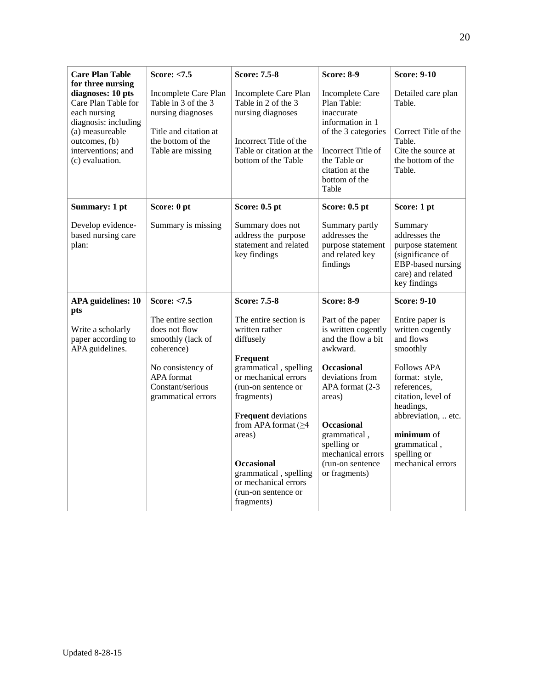| <b>Care Plan Table</b>                                                                                                                                                             | Score: <7.5                                                                                                                         | <b>Score: 7.5-8</b>                                                                                                                           | <b>Score: 8-9</b>                                                                                                                                                                 | <b>Score: 9-10</b>                                                                                                          |
|------------------------------------------------------------------------------------------------------------------------------------------------------------------------------------|-------------------------------------------------------------------------------------------------------------------------------------|-----------------------------------------------------------------------------------------------------------------------------------------------|-----------------------------------------------------------------------------------------------------------------------------------------------------------------------------------|-----------------------------------------------------------------------------------------------------------------------------|
| for three nursing<br>diagnoses: 10 pts<br>Care Plan Table for<br>each nursing<br>diagnosis: including<br>(a) measureable<br>outcomes, (b)<br>interventions; and<br>(c) evaluation. | Incomplete Care Plan<br>Table in 3 of the 3<br>nursing diagnoses<br>Title and citation at<br>the bottom of the<br>Table are missing | Incomplete Care Plan<br>Table in 2 of the 3<br>nursing diagnoses<br>Incorrect Title of the<br>Table or citation at the<br>bottom of the Table | <b>Incomplete Care</b><br>Plan Table:<br>inaccurate<br>information in 1<br>of the 3 categories<br>Incorrect Title of<br>the Table or<br>citation at the<br>bottom of the<br>Table | Detailed care plan<br>Table.<br>Correct Title of the<br>Table.<br>Cite the source at<br>the bottom of the<br>Table.         |
| Summary: 1 pt                                                                                                                                                                      | Score: 0 pt                                                                                                                         | Score: 0.5 pt                                                                                                                                 | Score: 0.5 pt                                                                                                                                                                     | Score: 1 pt                                                                                                                 |
| Develop evidence-<br>based nursing care<br>plan:                                                                                                                                   | Summary is missing                                                                                                                  | Summary does not<br>address the purpose<br>statement and related<br>key findings                                                              | Summary partly<br>addresses the<br>purpose statement<br>and related key<br>findings                                                                                               | Summary<br>addresses the<br>purpose statement<br>(significance of<br>EBP-based nursing<br>care) and related<br>key findings |
| <b>APA</b> guidelines: 10                                                                                                                                                          | Score: <7.5                                                                                                                         | <b>Score: 7.5-8</b>                                                                                                                           | <b>Score: 8-9</b>                                                                                                                                                                 | <b>Score: 9-10</b>                                                                                                          |
| pts<br>Write a scholarly<br>paper according to<br>APA guidelines.                                                                                                                  | The entire section<br>does not flow<br>smoothly (lack of<br>coherence)<br>No consistency of                                         | The entire section is<br>written rather<br>diffusely<br>Frequent<br>grammatical, spelling                                                     | Part of the paper<br>is written cogently<br>and the flow a bit<br>awkward.<br><b>Occasional</b>                                                                                   | Entire paper is<br>written cogently<br>and flows<br>smoothly<br><b>Follows APA</b>                                          |
|                                                                                                                                                                                    | <b>APA</b> format<br>Constant/serious<br>grammatical errors                                                                         | or mechanical errors<br>(run-on sentence or<br>fragments)                                                                                     | deviations from<br>APA format (2-3)<br>areas)                                                                                                                                     | format: style,<br>references.<br>citation, level of<br>headings,                                                            |
|                                                                                                                                                                                    |                                                                                                                                     | <b>Frequent</b> deviations<br>from APA format $(\geq 4)$<br>areas)                                                                            | <b>Occasional</b><br>grammatical,<br>spelling or<br>mechanical errors                                                                                                             | abbreviation,  etc.<br>minimum of<br>grammatical,<br>spelling or                                                            |
|                                                                                                                                                                                    |                                                                                                                                     | <b>Occasional</b><br>grammatical, spelling<br>or mechanical errors<br>(run-on sentence or<br>fragments)                                       | (run-on sentence)<br>or fragments)                                                                                                                                                | mechanical errors                                                                                                           |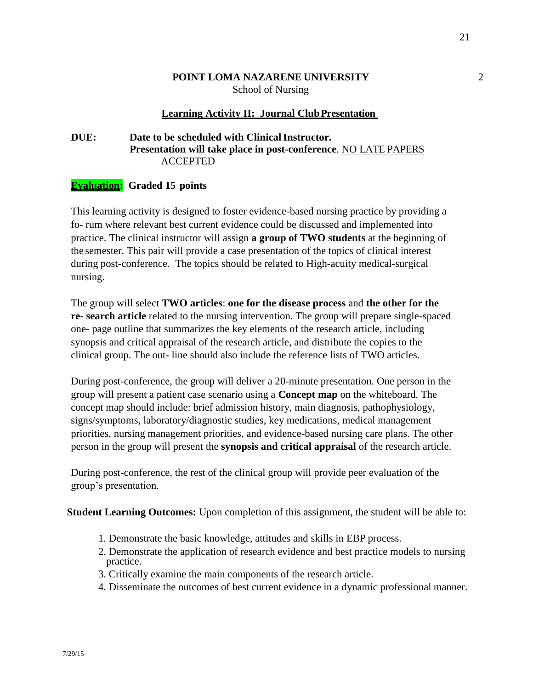#### **POINT LOMA NAZARENE UNIVERSITY** 2 School of Nursing

#### **Learning Activity II: Journal ClubPresentation**

## **DUE:** Date to be scheduled with Clinical Instructor. **Presentation will take place in post-conference**. NO LATE PAPERS ACCEPTED

#### **Evaluation: Graded 15 points**

This learning activity is designed to foster evidence-based nursing practice by providing a fo- rum where relevant best current evidence could be discussed and implemented into practice. The clinical instructor will assign **a group of TWO students** at the beginning of the semester. This pair will provide a case presentation of the topics of clinical interest during post-conference. The topics should be related to High-acuity medical-surgical nursing.

The group will select **TWO articles**: **one for the disease process** and **the other for the re- search article** related to the nursing intervention. The group will prepare single-spaced one- page outline that summarizes the key elements of the research article, including synopsis and critical appraisal of the research article, and distribute the copies to the clinical group. The out- line should also include the reference lists of TWO articles.

During post-conference, the group will deliver a 20-minute presentation. One person in the group will present a patient case scenario using a **Concept map** on the whiteboard. The concept map should include: brief admission history, main diagnosis, pathophysiology, signs/symptoms, laboratory/diagnostic studies, key medications, medical management priorities, nursing management priorities, and evidence-based nursing care plans. The other person in the group will present the **synopsis and critical appraisal** of the research article.

During post-conference, the rest of the clinical group will provide peer evaluation of the group's presentation.

**Student Learning Outcomes:** Upon completion of this assignment, the student will be able to:

- 1. Demonstrate the basic knowledge, attitudes and skills in EBP process.
- 2. Demonstrate the application of research evidence and best practice models to nursing practice.
- 3. Critically examine the main components of the research article.
- 4. Disseminate the outcomes of best current evidence in a dynamic professional manner.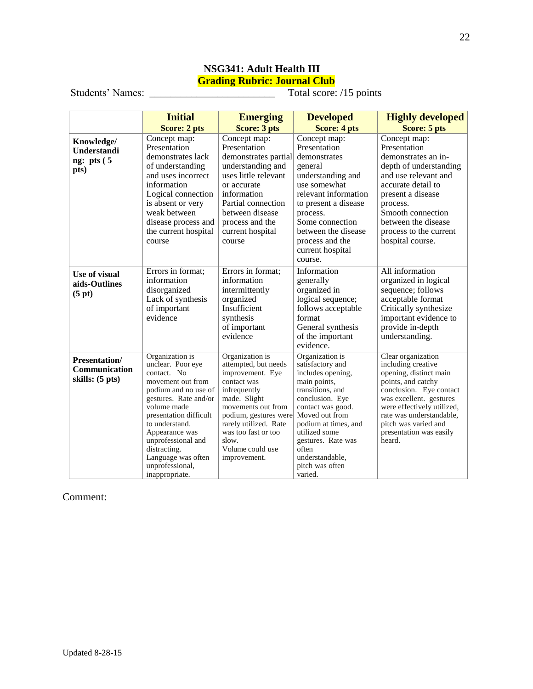## **NSG341: Adult Health III Grading Rubric: Journal Club**

Students' Names: \_\_\_\_\_\_\_\_\_\_\_\_\_\_\_\_\_\_\_\_\_\_\_\_ Total score: /15 points

|                                                          | <b>Initial</b>                                                                                                                                                                                                                                                                                          | <b>Emerging</b>                                                                                                                                                                                                                                        | <b>Developed</b>                                                                                                                                                                                                                                                                | <b>Highly developed</b>                                                                                                                                                                                                                                               |
|----------------------------------------------------------|---------------------------------------------------------------------------------------------------------------------------------------------------------------------------------------------------------------------------------------------------------------------------------------------------------|--------------------------------------------------------------------------------------------------------------------------------------------------------------------------------------------------------------------------------------------------------|---------------------------------------------------------------------------------------------------------------------------------------------------------------------------------------------------------------------------------------------------------------------------------|-----------------------------------------------------------------------------------------------------------------------------------------------------------------------------------------------------------------------------------------------------------------------|
|                                                          | Score: 2 pts                                                                                                                                                                                                                                                                                            | <b>Score: 3 pts</b>                                                                                                                                                                                                                                    | <b>Score: 4 pts</b>                                                                                                                                                                                                                                                             | Score: 5 pts                                                                                                                                                                                                                                                          |
| Knowledge/<br><b>Understandi</b><br>ng: pts $(5$<br>pts) | Concept map:<br>Presentation<br>demonstrates lack<br>of understanding<br>and uses incorrect<br>information<br>Logical connection<br>is absent or very<br>weak between<br>disease process and<br>the current hospital<br>course                                                                          | Concept map:<br>Presentation<br>demonstrates partial<br>understanding and<br>uses little relevant<br>or accurate<br>information<br>Partial connection<br>between disease<br>process and the<br>current hospital<br>course                              | Concept map:<br>Presentation<br>demonstrates<br>general<br>understanding and<br>use somewhat<br>relevant information<br>to present a disease<br>process.<br>Some connection<br>between the disease<br>process and the<br>current hospital<br>course.                            | Concept map:<br>Presentation<br>demonstrates an in-<br>depth of understanding<br>and use relevant and<br>accurate detail to<br>present a disease<br>process.<br>Smooth connection<br>between the disease<br>process to the current<br>hospital course.                |
| Use of visual<br>aids-Outlines<br>(5 pt)                 | Errors in format;<br>information<br>disorganized<br>Lack of synthesis<br>of important<br>evidence                                                                                                                                                                                                       | Errors in format;<br>information<br>intermittently<br>organized<br>Insufficient<br>synthesis<br>of important<br>evidence                                                                                                                               | Information<br>generally<br>organized in<br>logical sequence;<br>follows acceptable<br>format<br>General synthesis<br>of the important<br>evidence.                                                                                                                             | All information<br>organized in logical<br>sequence; follows<br>acceptable format<br>Critically synthesize<br>important evidence to<br>provide in-depth<br>understanding.                                                                                             |
| <b>Presentation/</b><br>Communication<br>skills: (5 pts) | Organization is<br>unclear. Poor eve<br>contact. No<br>movement out from<br>podium and no use of<br>gestures. Rate and/or<br>volume made<br>presentation difficult<br>to understand.<br>Appearance was<br>unprofessional and<br>distracting.<br>Language was often<br>unprofessional,<br>inappropriate. | Organization is<br>attempted, but needs<br>improvement. Eye<br>contact was<br>infrequently<br>made. Slight<br>movements out from<br>podium, gestures were<br>rarely utilized. Rate<br>was too fast or too<br>slow.<br>Volume could use<br>improvement. | Organization is<br>satisfactory and<br>includes opening,<br>main points,<br>transitions, and<br>conclusion. Eye<br>contact was good.<br>Moved out from<br>podium at times, and<br>utilized some<br>gestures. Rate was<br>often<br>understandable,<br>pitch was often<br>varied. | Clear organization<br>including creative<br>opening, distinct main<br>points, and catchy<br>conclusion. Eye contact<br>was excellent. gestures<br>were effectively utilized,<br>rate was understandable,<br>pitch was varied and<br>presentation was easily<br>heard. |

#### Comment: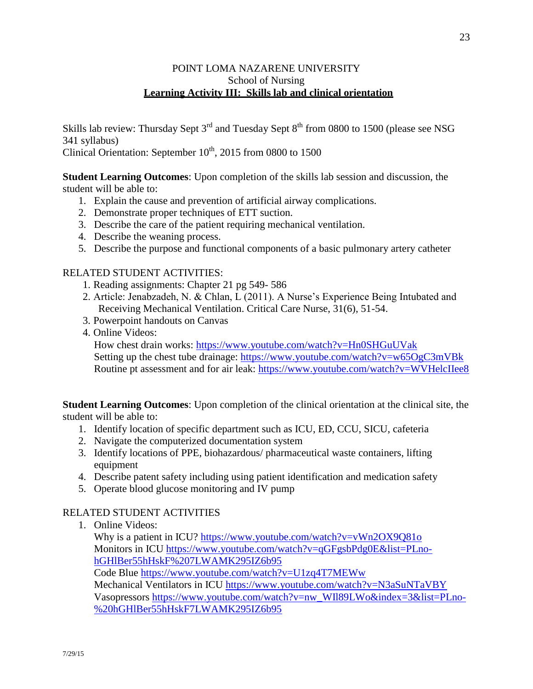## POINT LOMA NAZARENE UNIVERSITY School of Nursing **Learning Activity III: Skills lab and clinical orientation**

Skills lab review: Thursday Sept  $3<sup>rd</sup>$  and Tuesday Sept  $8<sup>th</sup>$  from 0800 to 1500 (please see NSG 341 syllabus)

Clinical Orientation: September  $10^{th}$ , 2015 from 0800 to 1500

**Student Learning Outcomes**: Upon completion of the skills lab session and discussion, the student will be able to:

- 1. Explain the cause and prevention of artificial airway complications.
- 2. Demonstrate proper techniques of ETT suction.
- 3. Describe the care of the patient requiring mechanical ventilation.
- 4. Describe the weaning process.
- 5. Describe the purpose and functional components of a basic pulmonary artery catheter

## RELATED STUDENT ACTIVITIES:

- 1. Reading assignments: Chapter 21 pg 549- 586
- 2. Article: Jenabzadeh, N. & Chlan, L (2011). A Nurse's Experience Being Intubated and Receiving Mechanical Ventilation. Critical Care Nurse, 31(6), 51-54.
- 3. Powerpoint handouts on Canvas
- 4. Online Videos:

How chest drain works:<https://www.youtube.com/watch?v=Hn0SHGuUVak> Setting up the chest tube drainage:<https://www.youtube.com/watch?v=w65OgC3mVBk> Routine pt assessment and for air leak:<https://www.youtube.com/watch?v=WVHelcIIee8>

**Student Learning Outcomes**: Upon completion of the clinical orientation at the clinical site, the student will be able to:

- 1. Identify location of specific department such as ICU, ED, CCU, SICU, cafeteria
- 2. Navigate the computerized documentation system
- 3. Identify locations of PPE, biohazardous/ pharmaceutical waste containers, lifting equipment
- 4. Describe patent safety including using patient identification and medication safety
- 5. Operate blood glucose monitoring and IV pump

## RELATED STUDENT ACTIVITIES

1. Online Videos:

Why is a patient in ICU?<https://www.youtube.com/watch?v=vWn2OX9Q81o> Monitors in ICU [https://www.youtube.com/watch?v=qGFgsbPdg0E&list=PLno](https://www.youtube.com/watch?v=qGFgsbPdg0E&list=PLno-hGHlBer55hHskF%207LWAMK295IZ6b95)[hGHlBer55hHskF%207LWAMK295IZ6b95](https://www.youtube.com/watch?v=qGFgsbPdg0E&list=PLno-hGHlBer55hHskF%207LWAMK295IZ6b95)

Code Blue<https://www.youtube.com/watch?v=U1zq4T7MEWw>

Mechanical Ventilators in ICU<https://www.youtube.com/watch?v=N3aSuNTaVBY> Vasopressors [https://www.youtube.com/watch?v=nw\\_WIl89LWo&index=3&list=PLno-](https://www.youtube.com/watch?v=nw_WIl89LWo&index=3&list=PLno-%20hGHlBer55hHskF7LWAMK295IZ6b95) [%20hGHlBer55hHskF7LWAMK295IZ6b95](https://www.youtube.com/watch?v=nw_WIl89LWo&index=3&list=PLno-%20hGHlBer55hHskF7LWAMK295IZ6b95)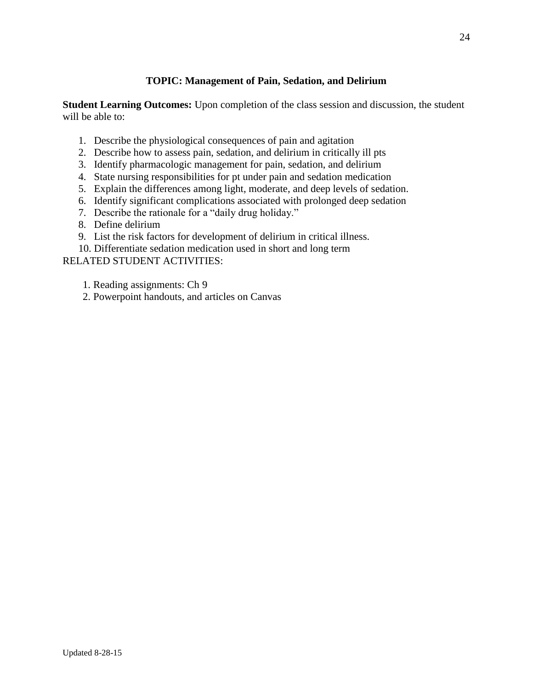## **TOPIC: Management of Pain, Sedation, and Delirium**

**Student Learning Outcomes:** Upon completion of the class session and discussion, the student will be able to:

- 1. Describe the physiological consequences of pain and agitation
- 2. Describe how to assess pain, sedation, and delirium in critically ill pts
- 3. Identify pharmacologic management for pain, sedation, and delirium
- 4. State nursing responsibilities for pt under pain and sedation medication
- 5. Explain the differences among light, moderate, and deep levels of sedation.
- 6. Identify significant complications associated with prolonged deep sedation
- 7. Describe the rationale for a "daily drug holiday."
- 8. Define delirium
- 9. List the risk factors for development of delirium in critical illness.
- 10. Differentiate sedation medication used in short and long term

RELATED STUDENT ACTIVITIES:

1. Reading assignments: Ch 9

2. Powerpoint handouts, and articles on Canvas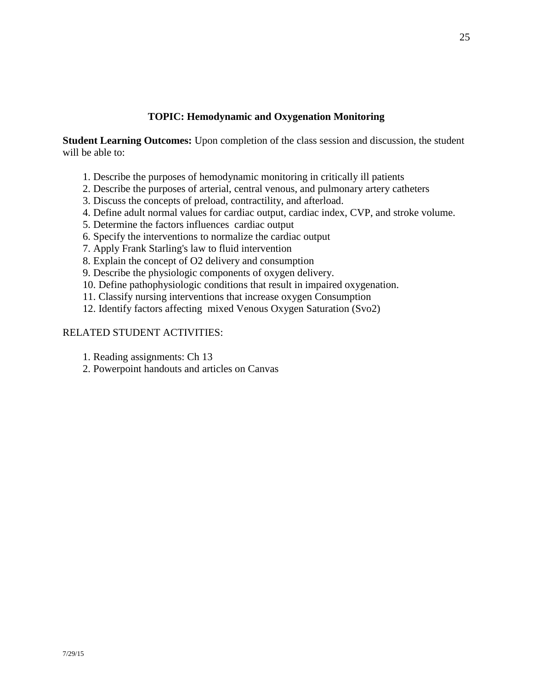## **TOPIC: Hemodynamic and Oxygenation Monitoring**

**Student Learning Outcomes:** Upon completion of the class session and discussion, the student will be able to:

- 1. Describe the purposes of hemodynamic monitoring in critically ill patients
- 2. Describe the purposes of arterial, central venous, and pulmonary artery catheters
- 3. Discuss the concepts of preload, contractility, and afterload.
- 4. Define adult normal values for cardiac output, cardiac index, CVP, and stroke volume.
- 5. Determine the factors influences cardiac output
- 6. Specify the interventions to normalize the cardiac output
- 7. Apply Frank Starling's law to fluid intervention
- 8. Explain the concept of O2 delivery and consumption
- 9. Describe the physiologic components of oxygen delivery.
- 10. Define pathophysiologic conditions that result in impaired oxygenation.
- 11. Classify nursing interventions that increase oxygen Consumption
- 12. Identify factors affecting mixed Venous Oxygen Saturation (Svo2)

- 1. Reading assignments: Ch 13
- 2. Powerpoint handouts and articles on Canvas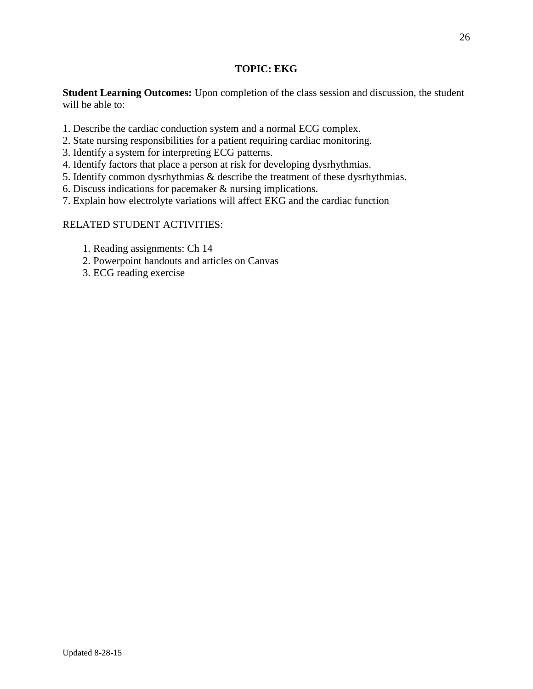## **TOPIC: EKG**

**Student Learning Outcomes:** Upon completion of the class session and discussion, the student will be able to:

- 1. Describe the cardiac conduction system and a normal ECG complex.
- 2. State nursing responsibilities for a patient requiring cardiac monitoring.
- 3. Identify a system for interpreting ECG patterns.
- 4. Identify factors that place a person at risk for developing dysrhythmias.
- 5. Identify common dysrhythmias & describe the treatment of these dysrhythmias.
- 6. Discuss indications for pacemaker & nursing implications.
- 7. Explain how electrolyte variations will affect EKG and the cardiac function

- 1. Reading assignments: Ch 14
- 2. Powerpoint handouts and articles on Canvas
- 3. ECG reading exercise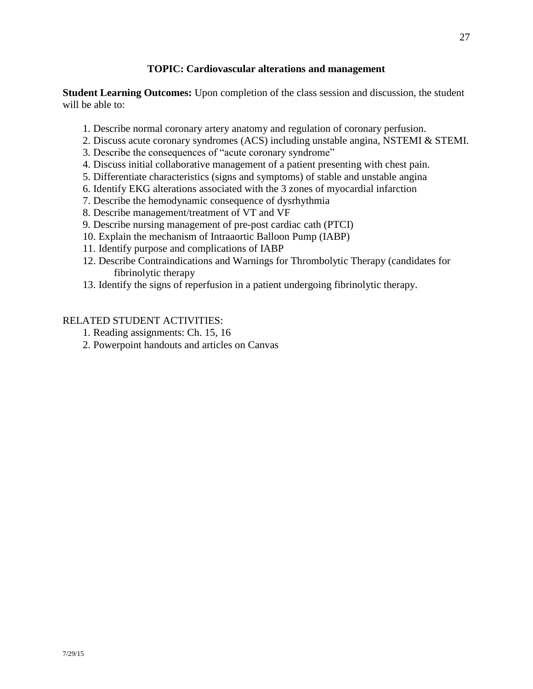## **TOPIC: Cardiovascular alterations and management**

**Student Learning Outcomes:** Upon completion of the class session and discussion, the student will be able to:

- 1. Describe normal coronary artery anatomy and regulation of coronary perfusion.
- 2. Discuss acute coronary syndromes (ACS) including unstable angina, NSTEMI & STEMI.
- 3. Describe the consequences of "acute coronary syndrome"
- 4. Discuss initial collaborative management of a patient presenting with chest pain.
- 5. Differentiate characteristics (signs and symptoms) of stable and unstable angina
- 6. Identify EKG alterations associated with the 3 zones of myocardial infarction
- 7. Describe the hemodynamic consequence of dysrhythmia
- 8. Describe management/treatment of VT and VF
- 9. Describe nursing management of pre-post cardiac cath (PTCI)
- 10. Explain the mechanism of Intraaortic Balloon Pump (IABP)
- 11. Identify purpose and complications of IABP
- 12. Describe Contraindications and Warnings for Thrombolytic Therapy (candidates for fibrinolytic therapy
- 13. Identify the signs of reperfusion in a patient undergoing fibrinolytic therapy.

- 1. Reading assignments: Ch. 15, 16
- 2. Powerpoint handouts and articles on Canvas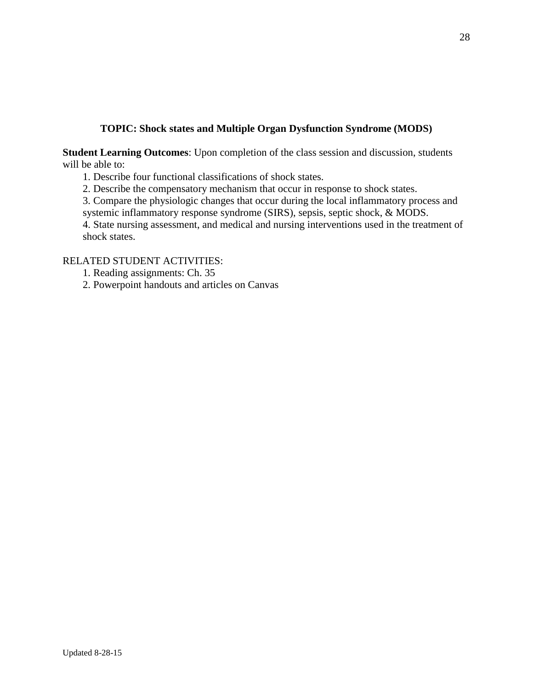## **TOPIC: Shock states and Multiple Organ Dysfunction Syndrome (MODS)**

**Student Learning Outcomes**: Upon completion of the class session and discussion, students will be able to:

1. Describe four functional classifications of shock states.

2. Describe the compensatory mechanism that occur in response to shock states.

3. Compare the physiologic changes that occur during the local inflammatory process and systemic inflammatory response syndrome (SIRS), sepsis, septic shock, & MODS.

4. State nursing assessment, and medical and nursing interventions used in the treatment of shock states.

RELATED STUDENT ACTIVITIES:

1. Reading assignments: Ch. 35

2. Powerpoint handouts and articles on Canvas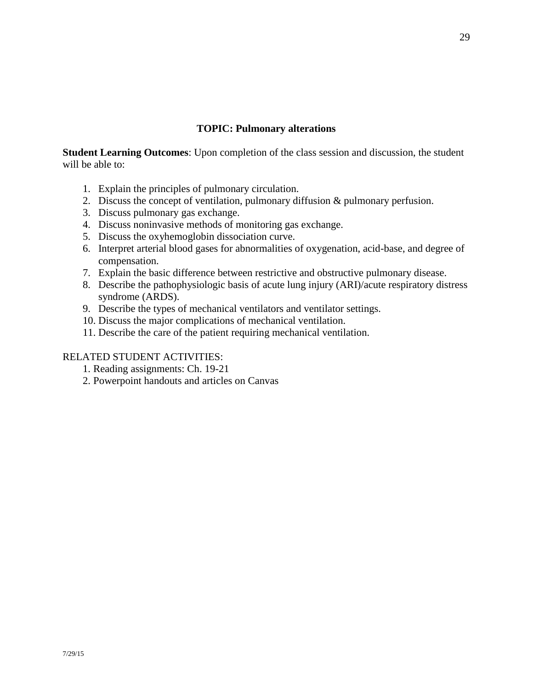#### **TOPIC: Pulmonary alterations**

**Student Learning Outcomes**: Upon completion of the class session and discussion, the student will be able to:

- 1. Explain the principles of pulmonary circulation.
- 2. Discuss the concept of ventilation, pulmonary diffusion & pulmonary perfusion.
- 3. Discuss pulmonary gas exchange.
- 4. Discuss noninvasive methods of monitoring gas exchange.
- 5. Discuss the oxyhemoglobin dissociation curve.
- 6. Interpret arterial blood gases for abnormalities of oxygenation, acid-base, and degree of compensation.
- 7. Explain the basic difference between restrictive and obstructive pulmonary disease.
- 8. Describe the pathophysiologic basis of acute lung injury (ARI)/acute respiratory distress syndrome (ARDS).
- 9. Describe the types of mechanical ventilators and ventilator settings.
- 10. Discuss the major complications of mechanical ventilation.
- 11. Describe the care of the patient requiring mechanical ventilation.

- 1. Reading assignments: Ch. 19-21
- 2. Powerpoint handouts and articles on Canvas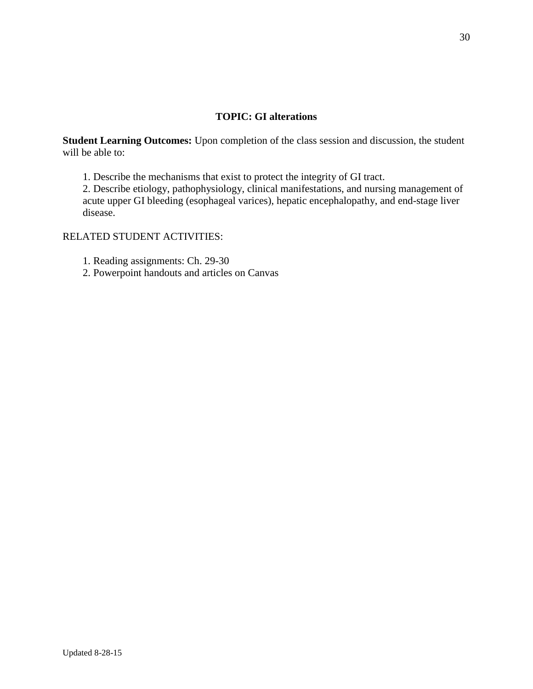## **TOPIC: GI alterations**

**Student Learning Outcomes:** Upon completion of the class session and discussion, the student will be able to:

1. Describe the mechanisms that exist to protect the integrity of GI tract.

2. Describe etiology, pathophysiology, clinical manifestations, and nursing management of acute upper GI bleeding (esophageal varices), hepatic encephalopathy, and end-stage liver disease.

## RELATED STUDENT ACTIVITIES:

1. Reading assignments: Ch. 29-30

2. Powerpoint handouts and articles on Canvas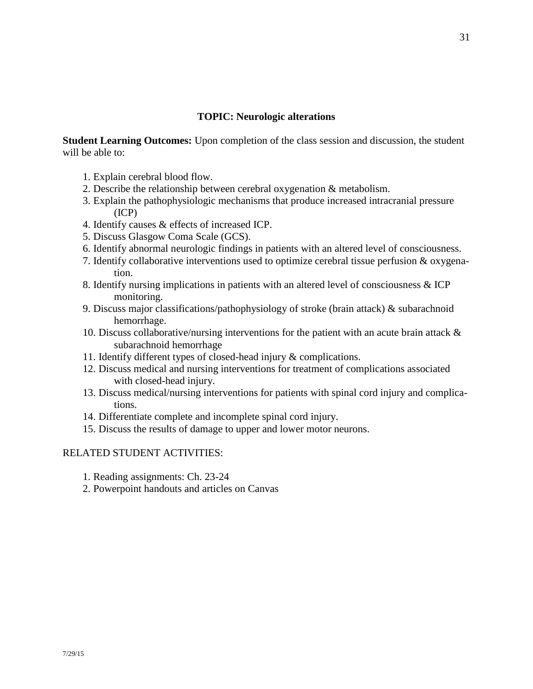#### **TOPIC: Neurologic alterations**

**Student Learning Outcomes:** Upon completion of the class session and discussion, the student will be able to:

- 1. Explain cerebral blood flow.
- 2. Describe the relationship between cerebral oxygenation & metabolism.
- 3. Explain the pathophysiologic mechanisms that produce increased intracranial pressure (ICP)
- 4. Identify causes & effects of increased ICP.
- 5. Discuss Glasgow Coma Scale (GCS).
- 6. Identify abnormal neurologic findings in patients with an altered level of consciousness.
- 7. Identify collaborative interventions used to optimize cerebral tissue perfusion & oxygenation.
- 8. Identify nursing implications in patients with an altered level of consciousness & ICP monitoring.
- 9. Discuss major classifications/pathophysiology of stroke (brain attack) & subarachnoid hemorrhage.
- 10. Discuss collaborative/nursing interventions for the patient with an acute brain attack & subarachnoid hemorrhage
- 11. Identify different types of closed-head injury & complications.
- 12. Discuss medical and nursing interventions for treatment of complications associated with closed-head injury.
- 13. Discuss medical/nursing interventions for patients with spinal cord injury and complications.
- 14. Differentiate complete and incomplete spinal cord injury.
- 15. Discuss the results of damage to upper and lower motor neurons.

- 1. Reading assignments: Ch. 23-24
- 2. Powerpoint handouts and articles on Canvas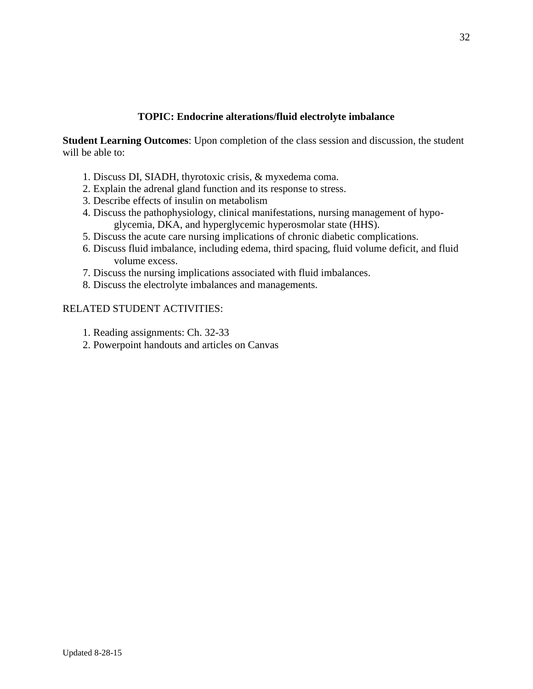## **TOPIC: Endocrine alterations/fluid electrolyte imbalance**

**Student Learning Outcomes**: Upon completion of the class session and discussion, the student will be able to:

- 1. Discuss DI, SIADH, thyrotoxic crisis, & myxedema coma.
- 2. Explain the adrenal gland function and its response to stress.
- 3. Describe effects of insulin on metabolism
- 4. Discuss the pathophysiology, clinical manifestations, nursing management of hypoglycemia, DKA, and hyperglycemic hyperosmolar state (HHS).
- 5. Discuss the acute care nursing implications of chronic diabetic complications.
- 6. Discuss fluid imbalance, including edema, third spacing, fluid volume deficit, and fluid volume excess.
- 7. Discuss the nursing implications associated with fluid imbalances.
- 8. Discuss the electrolyte imbalances and managements.

- 1. Reading assignments: Ch. 32-33
- 2. Powerpoint handouts and articles on Canvas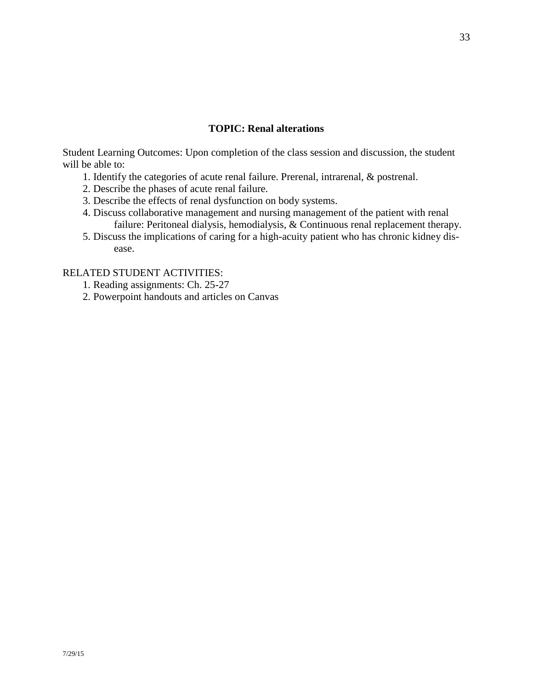#### **TOPIC: Renal alterations**

Student Learning Outcomes: Upon completion of the class session and discussion, the student will be able to:

- 1. Identify the categories of acute renal failure. Prerenal, intrarenal, & postrenal.
- 2. Describe the phases of acute renal failure.
- 3. Describe the effects of renal dysfunction on body systems.
- 4. Discuss collaborative management and nursing management of the patient with renal failure: Peritoneal dialysis, hemodialysis, & Continuous renal replacement therapy.
- 5. Discuss the implications of caring for a high-acuity patient who has chronic kidney disease.

- 1. Reading assignments: Ch. 25-27
- 2. Powerpoint handouts and articles on Canvas